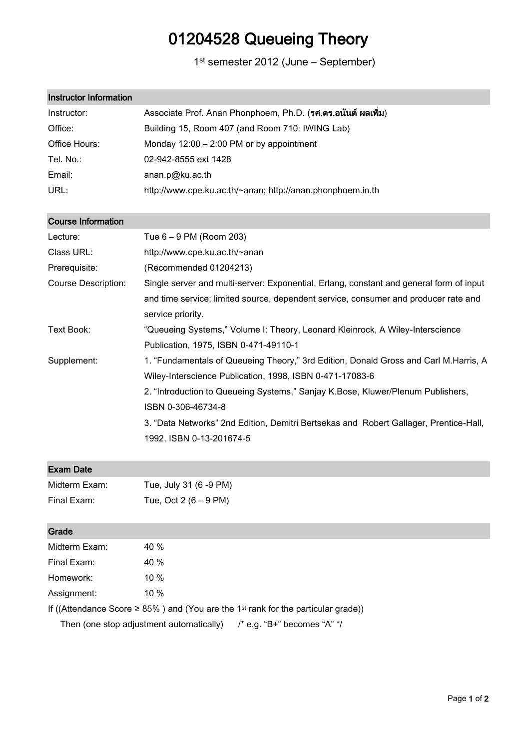# 01204528 Queueing Theory

1st semester 2012 (June – September)

| <b>Instructor Information</b> |                                                                                         |  |  |  |
|-------------------------------|-----------------------------------------------------------------------------------------|--|--|--|
| Instructor:                   | Associate Prof. Anan Phonphoem, Ph.D. (รศ.ดร.อนันต์ ผลเพิ่ม)                            |  |  |  |
| Office:                       | Building 15, Room 407 (and Room 710: IWING Lab)                                         |  |  |  |
| Office Hours:                 | Monday $12:00 - 2:00 \text{ PM}$ or by appointment                                      |  |  |  |
| Tel. No.:                     | 02-942-8555 ext 1428                                                                    |  |  |  |
| Email:                        | anan.p@ku.ac.th                                                                         |  |  |  |
| URL:                          | http://www.cpe.ku.ac.th/~anan; http://anan.phonphoem.in.th                              |  |  |  |
| <b>Course Information</b>     |                                                                                         |  |  |  |
| Lecture:                      | Tue 6 - 9 PM (Room 203)                                                                 |  |  |  |
| Class URL:                    | http://www.cpe.ku.ac.th/~anan                                                           |  |  |  |
| Prerequisite:                 | (Recommended 01204213)                                                                  |  |  |  |
| <b>Course Description:</b>    | Single server and multi-server: Exponential, Erlang, constant and general form of input |  |  |  |
|                               | and time service; limited source, dependent service, consumer and producer rate and     |  |  |  |
|                               | service priority.                                                                       |  |  |  |
| Text Book:                    | "Queueing Systems," Volume I: Theory, Leonard Kleinrock, A Wiley-Interscience           |  |  |  |
|                               | Publication, 1975, ISBN 0-471-49110-1                                                   |  |  |  |
| Supplement:                   | 1. "Fundamentals of Queueing Theory," 3rd Edition, Donald Gross and Carl M.Harris, A    |  |  |  |
|                               | Wiley-Interscience Publication, 1998, ISBN 0-471-17083-6                                |  |  |  |
|                               | 2. "Introduction to Queueing Systems," Sanjay K.Bose, Kluwer/Plenum Publishers,         |  |  |  |
|                               | ISBN 0-306-46734-8                                                                      |  |  |  |
|                               | 3. "Data Networks" 2nd Edition, Demitri Bertsekas and Robert Gallager, Prentice-Hall,   |  |  |  |
|                               | 1992, ISBN 0-13-201674-5                                                                |  |  |  |
| <b>Exam Date</b>              |                                                                                         |  |  |  |
|                               |                                                                                         |  |  |  |

| Midterm Exam: | Tue, July 31 (6 -9 PM)  |
|---------------|-------------------------|
| Final Exam:   | Tue, Oct 2 $(6 - 9$ PM) |

# Grade

| Midterm Exam: | 40%                                                                                                |
|---------------|----------------------------------------------------------------------------------------------------|
|               |                                                                                                    |
| Final Exam:   | 40 %                                                                                               |
| Homework:     | 10 $%$                                                                                             |
| Assignment:   | 10 $%$                                                                                             |
|               | If ((Attendance Score $\geq$ 85%) and (You are the 1 <sup>st</sup> rank for the particular grade)) |

Then (one stop adjustment automatically) /\* e.g. "B+" becomes "A" \*/